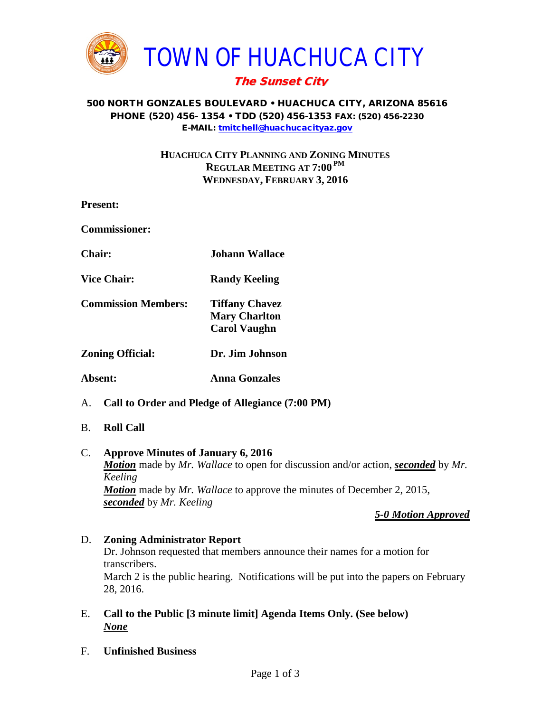

# The Sunset City

#### 500 NORTH GONZALES BOULEVARD • HUACHUCA CITY, ARIZONA 85616 PHONE (520) 456- 1354 • TDD (520) 456-1353 FAX: (520) 456-2230 E-MAIL: [tmitchell@huachucacityaz.gov](mailto:tmitchell@huachucacityaz.gov)

# **HUACHUCA CITY PLANNING AND ZONING MINUTES REGULAR MEETING AT 7:00 PM WEDNESDAY, FEBRUARY 3, 2016**

| <b>Present:</b>                                        |                                                                      |
|--------------------------------------------------------|----------------------------------------------------------------------|
| <b>Commissioner:</b>                                   |                                                                      |
| <b>Chair:</b>                                          | Johann Wallace.                                                      |
| <b>Vice Chair:</b>                                     | <b>Randy Keeling</b>                                                 |
| <b>Commission Members:</b>                             | <b>Tiffany Chavez</b><br><b>Mary Charlton</b><br><b>Carol Vaughn</b> |
| <b>Zoning Official:</b>                                | Dr. Jim Johnson                                                      |
| Absent:                                                | <b>Anna Gonzales</b>                                                 |
| Call to Order and Pledge of Allegiance (7:00 PM)<br>А. |                                                                      |

B. **Roll Call**

# C. **Approve Minutes of January 6, 2016**

*Motion* made by *Mr. Wallace* to open for discussion and/or action, *seconded* by *Mr. Keeling Motion* made by *Mr. Wallace* to approve the minutes of December 2, 2015, *seconded* by *Mr. Keeling*

#### *5-0 Motion Approved*

- D. **Zoning Administrator Report** Dr. Johnson requested that members announce their names for a motion for transcribers. March 2 is the public hearing. Notifications will be put into the papers on February 28, 2016.
- E. **Call to the Public [3 minute limit] Agenda Items Only. (See below)** *None*
- F. **Unfinished Business**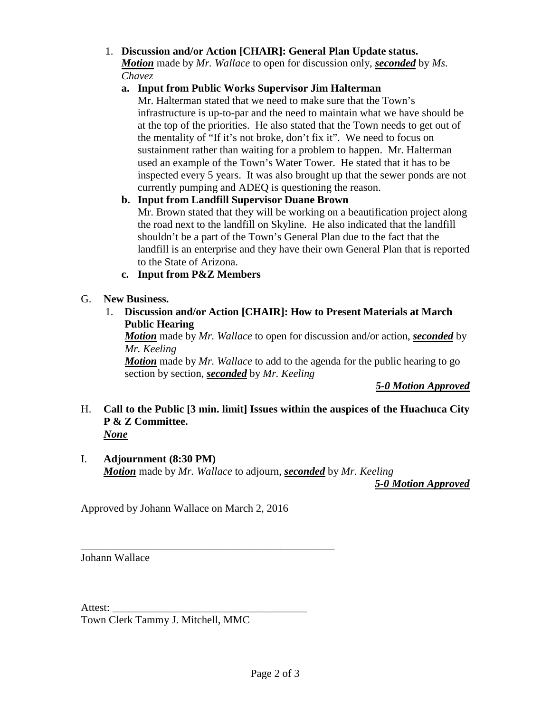# 1. **Discussion and/or Action [CHAIR]: General Plan Update status.**

*Motion* made by *Mr. Wallace* to open for discussion only, *seconded* by *Ms. Chavez*

### **a. Input from Public Works Supervisor Jim Halterman**

Mr. Halterman stated that we need to make sure that the Town's infrastructure is up-to-par and the need to maintain what we have should be at the top of the priorities. He also stated that the Town needs to get out of the mentality of "If it's not broke, don't fix it". We need to focus on sustainment rather than waiting for a problem to happen. Mr. Halterman used an example of the Town's Water Tower. He stated that it has to be inspected every 5 years. It was also brought up that the sewer ponds are not currently pumping and ADEQ is questioning the reason.

### **b. Input from Landfill Supervisor Duane Brown**

Mr. Brown stated that they will be working on a beautification project along the road next to the landfill on Skyline. He also indicated that the landfill shouldn't be a part of the Town's General Plan due to the fact that the landfill is an enterprise and they have their own General Plan that is reported to the State of Arizona.

### **c. Input from P&Z Members**

### G. **New Business.**

# 1. **Discussion and/or Action [CHAIR]: How to Present Materials at March Public Hearing**

*Motion* made by *Mr. Wallace* to open for discussion and/or action, *seconded* by *Mr. Keeling*

*Motion* made by *Mr. Wallace* to add to the agenda for the public hearing to go section by section, *seconded* by *Mr. Keeling*

#### *5-0 Motion Approved*

#### H. **Call to the Public [3 min. limit] Issues within the auspices of the Huachuca City P & Z Committee.** *None*

#### I. **Adjournment (8:30 PM)** *Motion* made by *Mr. Wallace* to adjourn, *seconded* by *Mr. Keeling*

*5-0 Motion Approved*

Approved by Johann Wallace on March 2, 2016

\_\_\_\_\_\_\_\_\_\_\_\_\_\_\_\_\_\_\_\_\_\_\_\_\_\_\_\_\_\_\_\_\_\_\_\_\_\_\_\_\_\_\_\_\_\_\_

Johann Wallace

Attest:

Town Clerk Tammy J. Mitchell, MMC